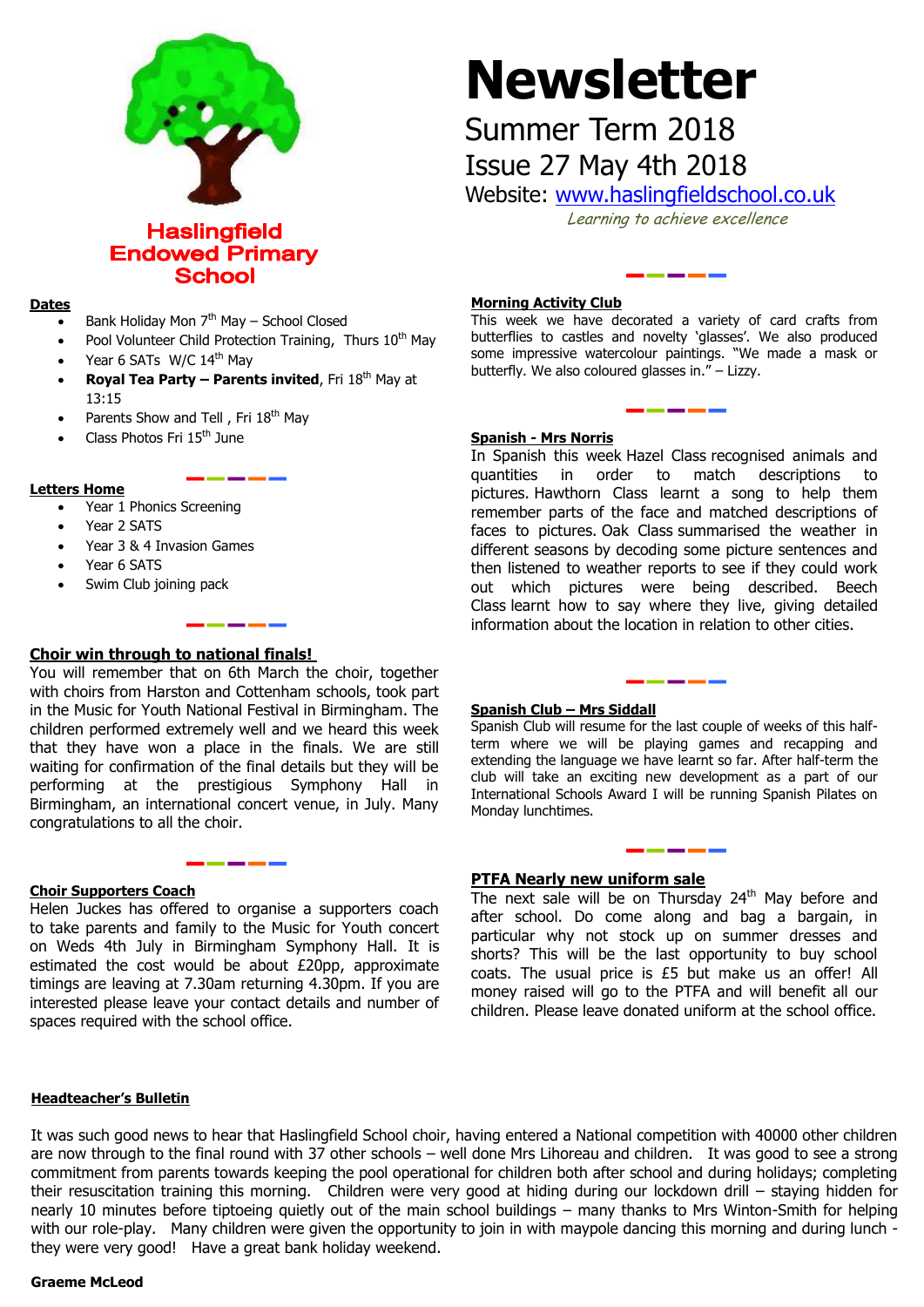

**Haslingfield Endowed Primary School** 

#### **Dates**

- Bank Holiday Mon  $7<sup>th</sup>$  May School Closed
- Pool Volunteer Child Protection Training, Thurs 10<sup>th</sup> May
- Year 6 SATs W/C 14<sup>th</sup> May
- **Royal Tea Party – Parents invited**, Fri 18th May at 13:15
- Parents Show and Tell, Fri 18<sup>th</sup> May
- Class Photos Fri 15th June

#### **Letters Home**

- Year 1 Phonics Screening
- Year 2 SATS
- Year 3 & 4 Invasion Games
- Year 6 SATS
- Swim Club joining pack

## **Choir win through to national finals!**

You will remember that on 6th March the choir, together with choirs from Harston and Cottenham schools, took part in the Music for Youth National Festival in Birmingham. The children performed extremely well and we heard this week that they have won a place in the finals. We are still waiting for confirmation of the final details but they will be performing at the prestigious Symphony Hall in Birmingham, an international concert venue, in July. Many congratulations to all the choir.

#### **Choir Supporters Coach**

Helen Juckes has offered to organise a supporters coach to take parents and family to the Music for Youth concert on Weds 4th July in Birmingham Symphony Hall. It is estimated the cost would be about £20pp, approximate timings are leaving at 7.30am returning 4.30pm. If you are interested please leave your contact details and number of spaces required with the school office.

# **Newsletter**

# Summer Term 2018

Issue 27 May 4th 2018

Website: [www.haslingfieldschool.co.uk](http://www.haslingfieldschool.co.uk/)

Learning to achieve excellence

#### **Morning Activity Club**

This week we have decorated a variety of card crafts from butterflies to castles and novelty 'glasses'. We also produced some impressive watercolour paintings. "We made a mask or butterfly. We also coloured glasses in." – Lizzy.

#### **Spanish - Mrs Norris**

In Spanish this week Hazel Class recognised animals and quantities in order to match descriptions to pictures. Hawthorn Class learnt a song to help them remember parts of the face and matched descriptions of faces to pictures. Oak Class summarised the weather in different seasons by decoding some picture sentences and then listened to weather reports to see if they could work out which pictures were being described. Beech Class learnt how to say where they live, giving detailed information about the location in relation to other cities.

#### **Spanish Club – Mrs Siddall**

**Spanish Club – mrs Siggali**<br>Spanish Club will resume for the last couple of weeks of this halfterm where we will be playing games and recapping and<br>extending the language we have learnt so far. After half-term the term where we will be playing games and recapping and club will take an exciting new development as a part of our International Schools Award I will be running Spanish Pilates on Monday lunchtimes.

## **PTFA Nearly new uniform sale**

The next sale will be on Thursday  $24<sup>th</sup>$  May before and after school. Do come along and bag a bargain, in particular why not stock up on summer dresses and shorts? This will be the last opportunity to buy school coats. The usual price is £5 but make us an offer! All money raised will go to the PTFA and will benefit all our children. Please leave donated uniform at the school office.

#### **Headteacher's Bulletin**

It was such good news to hear that Haslingfield School choir, having entered a National competition with 40000 other children are now through to the final round with 37 other schools – well done Mrs Lihoreau and children. It was good to see a strong commitment from parents towards keeping the pool operational for children both after school and during holidays; completing their resuscitation training this morning. Children were very good at hiding during our lockdown drill – staying hidden for nearly 10 minutes before tiptoeing quietly out of the main school buildings – many thanks to Mrs Winton-Smith for helping with our role-play. Many children were given the opportunity to join in with maypole dancing this morning and during lunch they were very good! Have a great bank holiday weekend.

#### **Graeme McLeod**